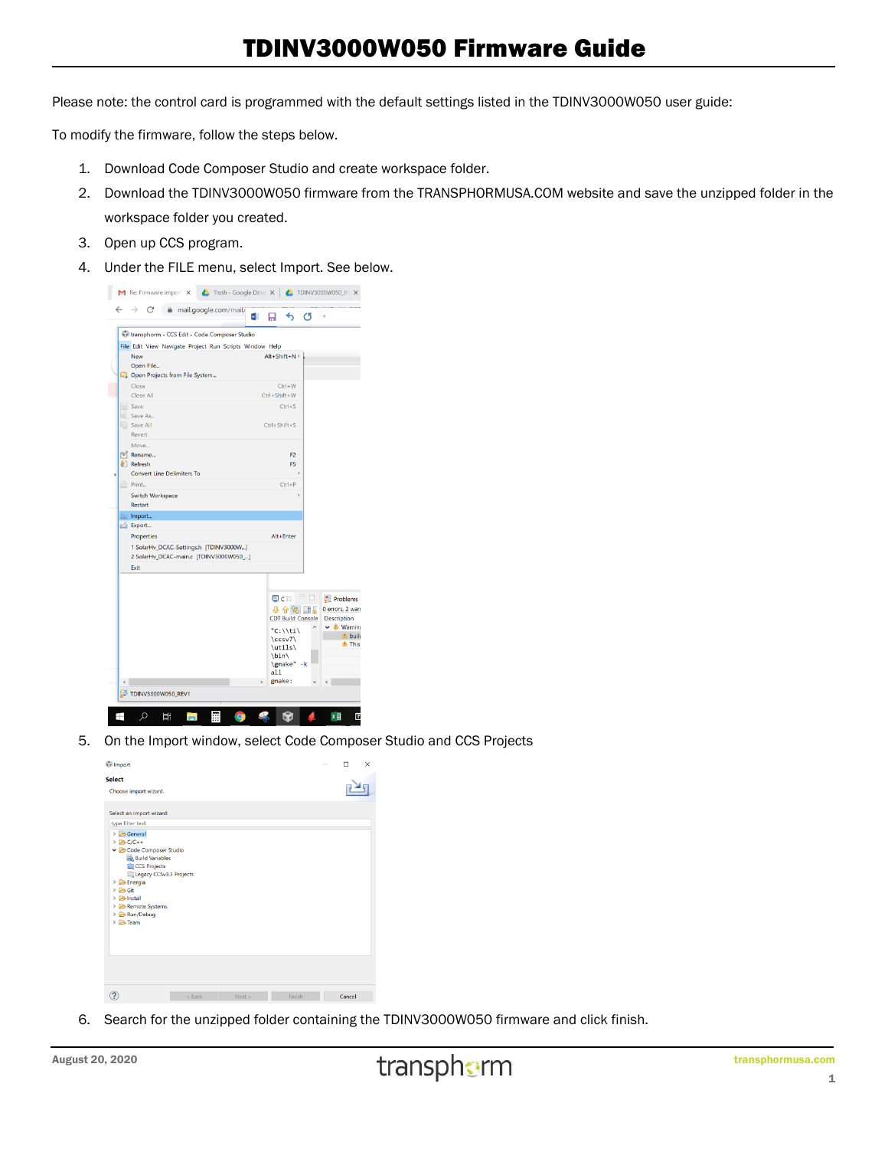## TDINV3000W050 Firmware Guide

Please note: the control card is programmed with the default settings listed in the TDINV3000W050 user guide:

To modify the firmware, follow the steps below.

- 1. Download Code Composer Studio and create workspace folder.
- 2. Download the TDINV3000W050 firmware from the TRANSPHORMUSA.COM website and save the unzipped folder in the workspace folder you created.
- 3. Open up CCS program.
- 4. Under the FILE menu, select Import. See below.



5. On the Import window, select Code Composer Studio and CCS Projects

| <b><i><u>i</u></i></b> Import                                                                                                                                                                                            |          |      |        | □<br>× |
|--------------------------------------------------------------------------------------------------------------------------------------------------------------------------------------------------------------------------|----------|------|--------|--------|
| <b>Select</b><br>Choose import wizard.                                                                                                                                                                                   |          |      |        |        |
| Select an import wizard:                                                                                                                                                                                                 |          |      |        |        |
| type filter text<br>> General<br>> BC/C++<br>Code Composer Studio<br><b>Build Variables</b><br>CCS Projects<br>Legacy CCSv3.3 Projects<br>> Energia<br>> Git<br>> BInstall<br>Remote Systems<br>> ERun/Debug<br>> & Team |          |      |        |        |
|                                                                                                                                                                                                                          | $<$ Back | Next | Finish | Cancel |

6. Search for the unzipped folder containing the TDINV3000W050 firmware and click finish.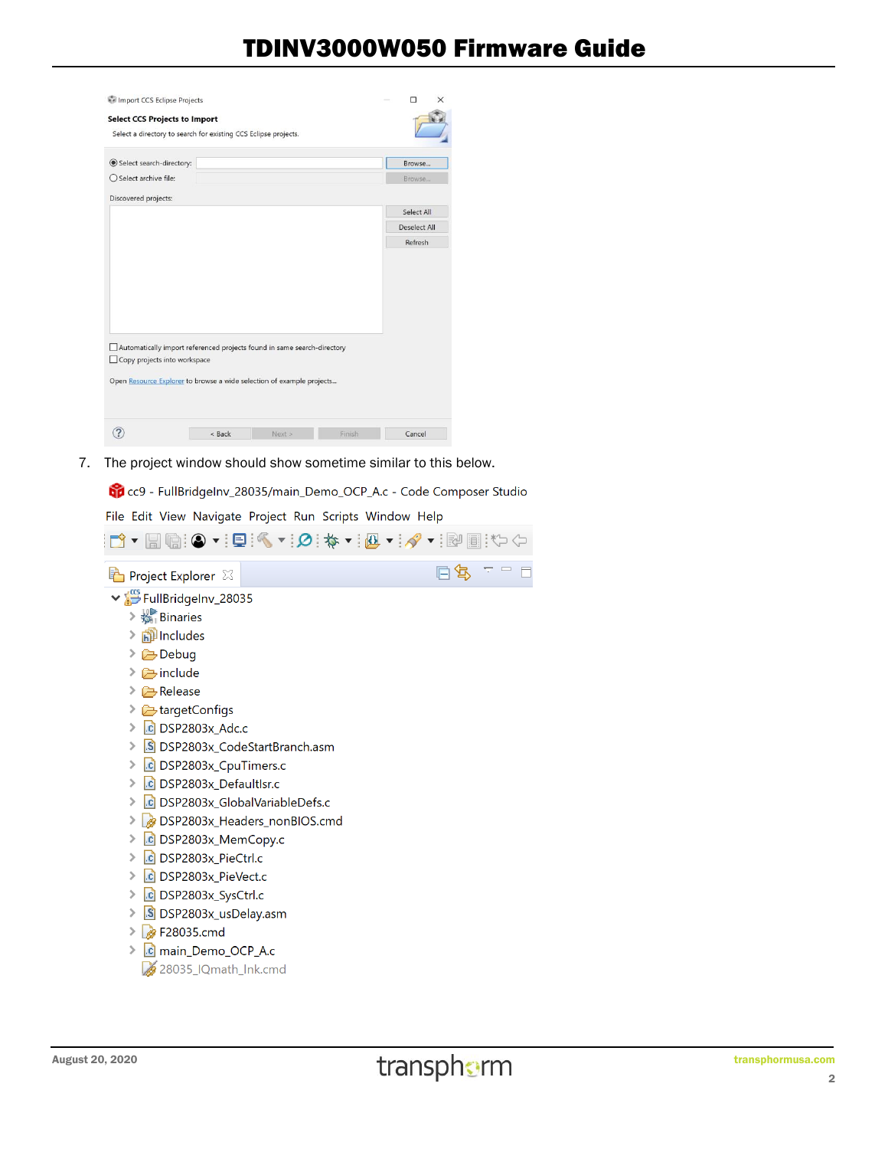## TDINV3000W050 Firmware Guide

|                                                                                                         | Import CCS Eclipse Projects |  |              |
|---------------------------------------------------------------------------------------------------------|-----------------------------|--|--------------|
| <b>Select CCS Projects to Import</b>                                                                    |                             |  |              |
| Select a directory to search for existing CCS Eclipse projects.                                         |                             |  |              |
| Select search-directory:                                                                                |                             |  | Browse       |
| ○ Select archive file:                                                                                  |                             |  | Browse       |
| Discovered projects:                                                                                    |                             |  |              |
|                                                                                                         |                             |  | Select All   |
|                                                                                                         |                             |  | Deselect All |
|                                                                                                         |                             |  | Refresh      |
|                                                                                                         |                             |  |              |
|                                                                                                         |                             |  |              |
| Automatically import referenced projects found in same search-directory<br>Copy projects into workspace |                             |  |              |
| Open Resource Explorer to browse a wide selection of example projects                                   |                             |  |              |

7. The project window should show sometime similar to this below.

CCP\_A.c - Code Composer Studio

File Edit View Navigate Project Run Scripts Window Help



28035 IQmath\_Ink.cmd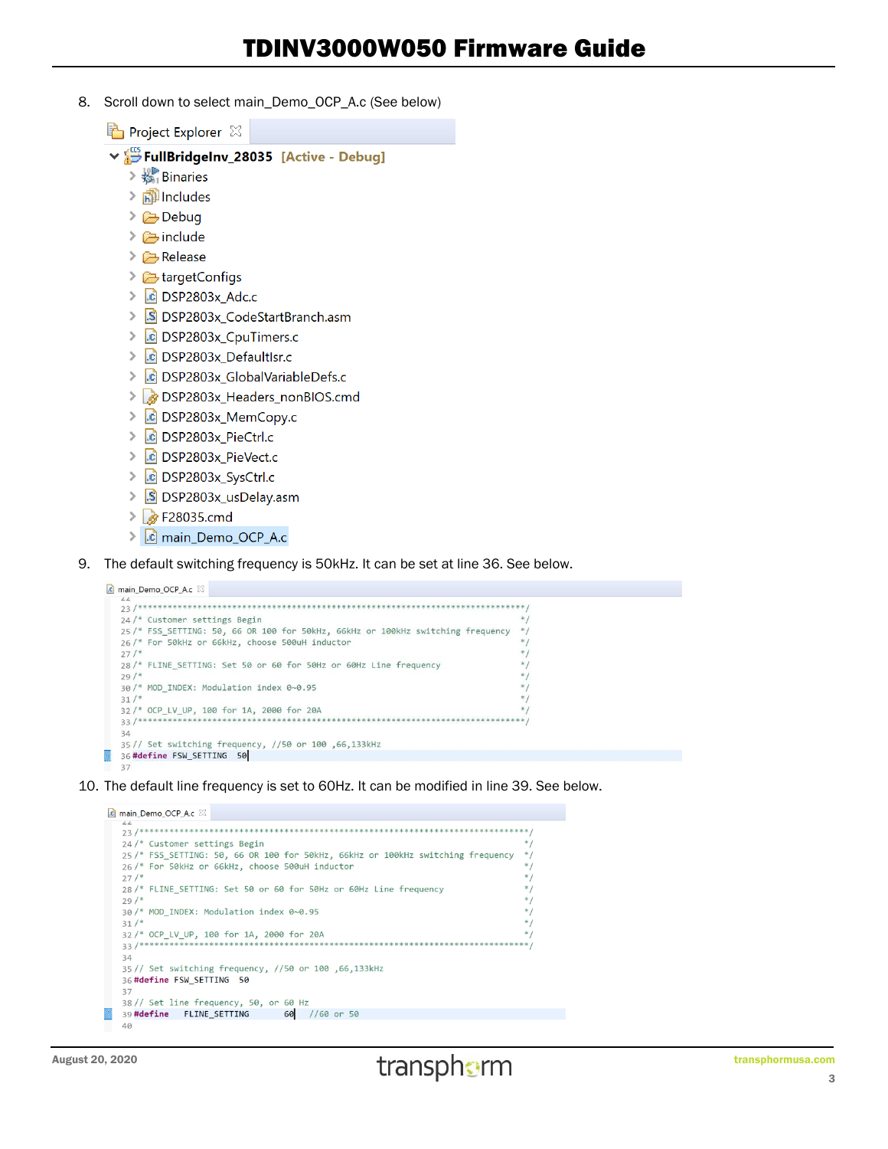8. Scroll down to select main\_Demo\_OCP\_A.c (See below)

Project Explorer &

- V SellBridgeInv\_28035 [Active Debug]
	- $\geq \frac{15}{26}$  Binaries
	- $>$  neludes
	- > **E** Debug
	- $\geq$   $\geq$  include
	- $\triangleright$   $\rightarrow$  Release
	- $\geq$  LargetConfigs
	- $\triangleright$   $\overline{c}$  DSP2803x Adc.c
	- > S DSP2803x\_CodeStartBranch.asm
	- > | c DSP2803x\_CpuTimers.c
	- > c DSP2803x\_Defaultlsr.c
	- > c DSP2803x\_GlobalVariableDefs.c
	- DSP2803x\_Headers\_nonBIOS.cmd
	- > c DSP2803x\_MemCopy.c
	- > c DSP2803x\_PieCtrl.c
	- ▶ c DSP2803x\_PieVect.c
	- > c DSP2803x\_SysCtrl.c
	- > S DSP2803x\_usDelay.asm
	- $\triangleright$   $\triangleright$  F28035.cmd
	- > c main\_Demo\_OCP\_A.c
- 9. The default switching frequency is 50kHz. It can be set at line 36. See below.

c main\_Demo\_OCP\_A.c &



10. The default line frequency is set to 60Hz. It can be modified in line 39. See below.

```
c main_Demo_OCP_A.c \boxtimes24 /* Customer settings Begin
 25/* FSS_SETTING: 50, 66 OR 100 for 50kHz, 66kHz or 100kHz switching frequency
 26/* For 50kHz or 66kHz, choose 500uH inductor
 27/28 /* FLINE_SETTING: Set 50 or 60 for 50Hz or 60Hz Line frequency
 29/30/* MOD_INDEX: Modulation index 0~0.95
 31/32/* OCP_LV_UP, 100 for 1A, 2000 for 20A
             33/***35// Set switching frequency, //50 or 100 ,66,133kHz
 36 #define FSW_SETTING 50
 37
 38// Set line frequency, 50, or 60 Hz
39 #define FLINE_SETTING 60 //60 or 50
 40
```